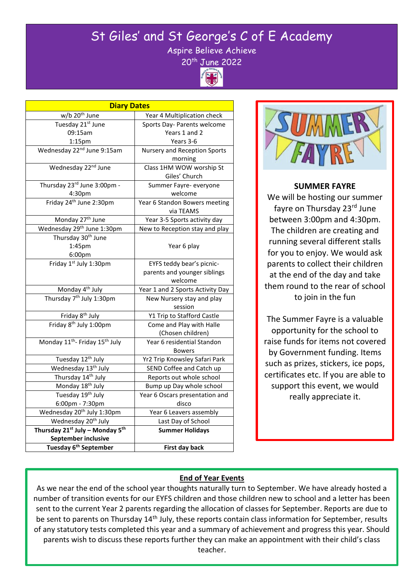# St Giles' and St George's C of E Academy

Aspire Believe Achieve



| <b>Diary Dates</b>                                                  |                                             |
|---------------------------------------------------------------------|---------------------------------------------|
| w/b 20 <sup>th</sup> June                                           | Year 4 Multiplication check                 |
| Tuesday 21st June                                                   | Sports Day- Parents welcome                 |
| 09:15am                                                             | Years 1 and 2                               |
| 1:15pm                                                              | Years 3-6                                   |
| Wednesday 22 <sup>nd</sup> June 9:15am                              | <b>Nursery and Reception Sports</b>         |
|                                                                     | morning                                     |
| Wednesday 22 <sup>nd</sup> June                                     | Class 1HM WOW worship St                    |
|                                                                     | Giles' Church                               |
| Thursday 23rd June 3:00pm -                                         | Summer Fayre- everyone                      |
| 4:30pm                                                              | welcome                                     |
| Friday 24 <sup>th</sup> June 2:30pm                                 | Year 6 Standon Bowers meeting<br>via TEAMS  |
| Monday 27 <sup>th</sup> June                                        | Year 3-5 Sports activity day                |
| Wednesday 29 <sup>th</sup> June 1:30pm                              | New to Reception stay and play              |
| Thursday 30 <sup>th</sup> June                                      |                                             |
| 1:45pm                                                              | Year 6 play                                 |
| 6:00pm                                                              |                                             |
| Friday 1st July 1:30pm                                              | EYFS teddy bear's picnic-                   |
|                                                                     | parents and younger siblings                |
|                                                                     | welcome                                     |
| Monday 4 <sup>th</sup> July<br>Thursday 7 <sup>th</sup> July 1:30pm | Year 1 and 2 Sports Activity Day            |
|                                                                     | New Nursery stay and play                   |
|                                                                     | session                                     |
| Friday 8 <sup>th</sup> July                                         | Y1 Trip to Stafford Castle                  |
| Friday 8 <sup>th</sup> July 1:00pm                                  | Come and Play with Halle                    |
|                                                                     | (Chosen children)                           |
| Monday 11 <sup>th</sup> - Friday 15 <sup>th</sup> July              | Year 6 residential Standon<br><b>Bowers</b> |
| Tuesday 12 <sup>th</sup> July                                       | Yr2 Trip Knowsley Safari Park               |
| Wednesday 13 <sup>th</sup> July                                     | SEND Coffee and Catch up                    |
| Thursday 14 <sup>th</sup> July                                      | Reports out whole school                    |
| Monday 18 <sup>th</sup> July                                        | Bump up Day whole school                    |
| Tuesday 19 <sup>th</sup> July                                       | Year 6 Oscars presentation and              |
| 6:00pm - 7:30pm                                                     | disco                                       |
| Wednesday 20 <sup>th</sup> July 1:30pm                              | Year 6 Leavers assembly                     |
| Wednesday 20 <sup>th</sup> July                                     | Last Day of School                          |
| Thursday 21 <sup>st</sup> July - Monday 5 <sup>th</sup>             | <b>Summer Holidays</b>                      |
| September inclusive                                                 |                                             |
| Tuesday 6 <sup>th</sup> September                                   | First day back                              |

j



## **SUMMER FAYRE**

We will be hosting our summer fayre on Thursday 23rd June between 3:00pm and 4:30pm. The children are creating and running several different stalls for you to enjoy. We would ask parents to collect their children at the end of the day and take them round to the rear of school to join in the fun

The Summer Fayre is a valuable opportunity for the school to raise funds for items not covered by Government funding. Items such as prizes, stickers, ice pops, certificates etc. If you are able to support this event, we would really appreciate it.

## **End of Year Events**

 number of transition events for our EYFS children and those children new to school and a letter has been As we near the end of the school year thoughts naturally turn to September. We have already hosted a sent to the current Year 2 parents regarding the allocation of classes for September. Reports are due to be sent to parents on Thursday 14<sup>th</sup> July, these reports contain class information for September, results of any statutory tests completed this year and a summary of achievement and progress this year. Should parents wish to discuss these reports further they can make an appointment with their child's class teacher.